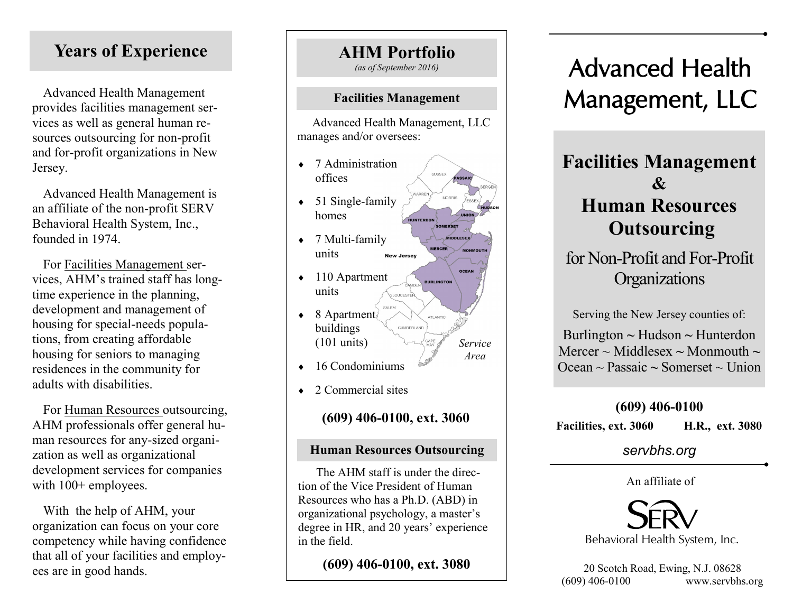# **Years of Experience**

Advanced Health Management provides facilities management services as well as general human resources outsourcing for non-profit and for-profit organizations in New Jersey.

Advanced Health Management is an affiliate of the non-profit SERV Behavioral Health System, Inc., founded in 1974.

For Facilities Management services, AHM's trained staff has longtime experience in the planning, development and management of housing for special-needs populations, from creating affordable housing for seniors to managing residences in the community for adults with disabilities.

For Human Resources outsourcing, AHM professionals offer general human resources for any-sized organization as well as organizational development services for companies with  $100+$  employees.

With the help of AHM, your organization can focus on your core competency while having confidence that all of your facilities and employees are in good hands.

# **AHM Portfolio**

*(as of September 2016)*

#### **Facilities Management**

 Advanced Health Management, LLC manages and/or oversees:

- ◆ 7 Administration offices
- $\bullet$  51 Single-family homes
- $\rightarrow$  7 Multi-family units **New Jersey**
- ◆ 110 Apartment units **SLOUCESTER**
- $\triangleleft$  8 Apartment $\langle$ ATLANTIC buildings CUMBERLAND (101 units)
- $\leftarrow$  16 Condominiums
- ◆ 2 Commercial sites

**(609) 406-0100, ext. 3060**

*Service Area*

**MORRIS** 

WERCER

**IIDDLESEX** 

### **Human Resources Outsourcing**

The AHM staff is under the direction of the Vice President of Human Resources who has a Ph.D. (ABD) in organizational psychology, a master's degree in HR, and 20 years' experience in the field.

**(609) 406-0100, ext. 3080**

# Advanced Health Management, LLC

# **Facilities Management & Human Resources Outsourcing**

for Non-Profit and For-Profit **Organizations** 

Serving the New Jersey counties of:

Burlington **~** Hudson **~** Hunterdon Mercer  $\sim$  Middlesex  $\sim$  Monmouth  $\sim$ Ocean ~ Passaic **~** Somerset ~ Union

#### **(609) 406-0100**

**Facilities, ext. 3060 H.R., ext. 3080**

*servbhs.org*

An affiliate of



20 Scotch Road, Ewing, N.J. 08628 (609) 406-0100 www.servbhs.org